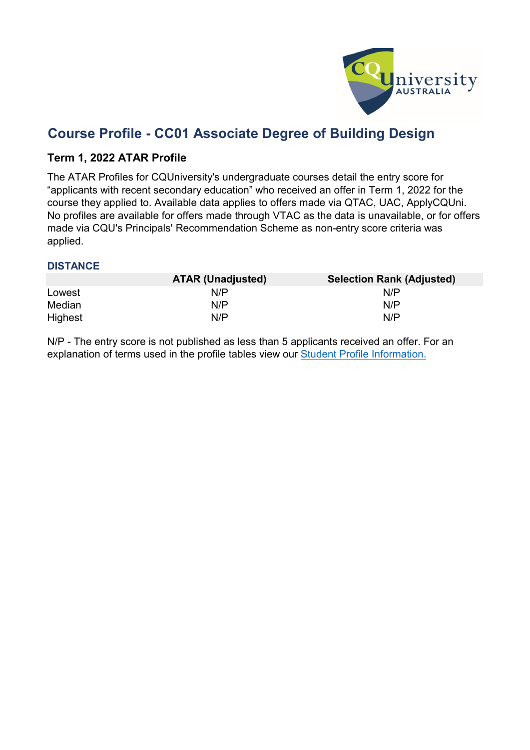

# **Course Profile - CC01 Associate Degree of Building Design**

### **Term 1, 2022 ATAR Profile**

The ATAR Profiles for CQUniversity's undergraduate courses detail the entry score for "applicants with recent secondary education" who received an offer in Term 1, 2022 for the course they applied to. Available data applies to offers made via QTAC, UAC, ApplyCQUni. No profiles are available for offers made through VTAC as the data is unavailable, or for offers made via CQU's Principals' Recommendation Scheme as non-entry score criteria was applied.

#### **DISTANCE**

|         | <b>ATAR (Unadjusted)</b> | <b>Selection Rank (Adjusted)</b> |
|---------|--------------------------|----------------------------------|
| Lowest  | N/P                      | N/P                              |
| Median  | N/P                      | N/P                              |
| Highest | N/P                      | N/P                              |

N/P - [The entry](https://www.cqu.edu.au/courses/future-students/your-journey/enquire/student-profile) score is not published as less than 5 applicants received an offer. For an [explanation of](https://www.cqu.edu.au/courses/future-students/your-journey/enquire/student-profile) terms [used in the profile tables](https://www.cqu.edu.au/courses/future-students/your-journey/enquire/student-profile) view our Student [Profile Information.](https://www.cqu.edu.au/courses/future-students/your-journey/enquire/student-profile)